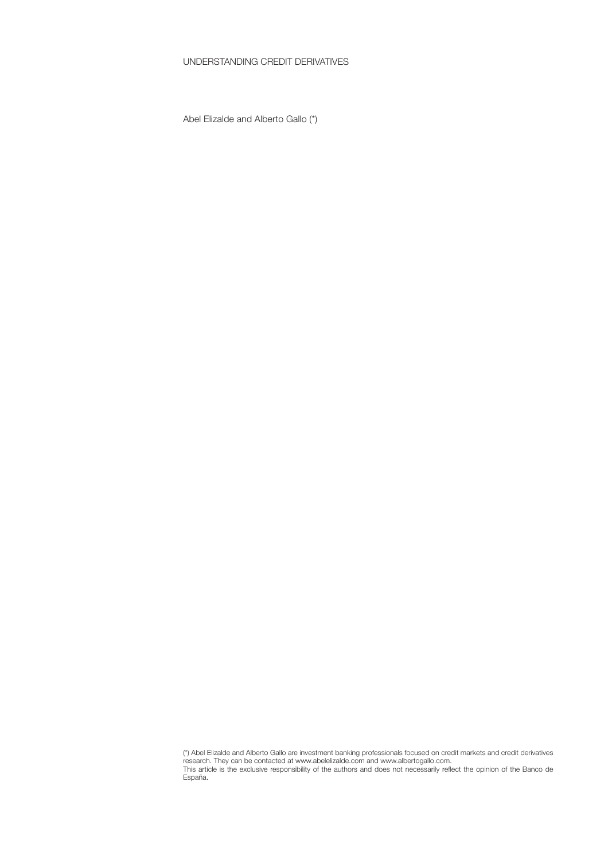# UNDERSTANDING CREDIT DERIVATIVES

Abel Elizalde and Alberto Gallo (\*)

This article is the exclusive responsibility of the authors and does not necessarily reflect the opinion of the Banco de España. (\*) Abel Elizalde and Alberto Gallo are investment banking professionals focused on credit markets and credit derivatives research. They can be contacted at www.abelelizalde.com and www.albertogallo.com.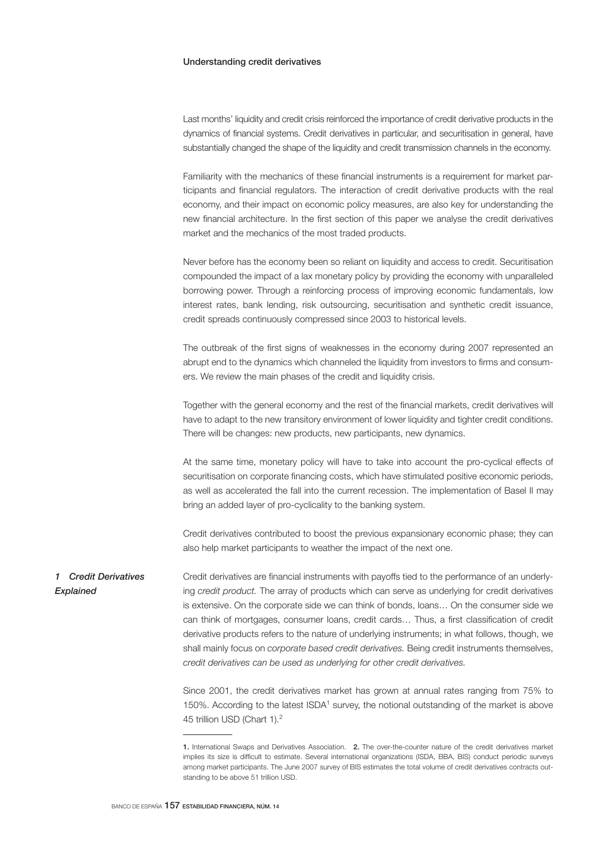### Understanding credit derivatives

Last months' liquidity and credit crisis reinforced the importance of credit derivative products in the dynamics of financial systems. Credit derivatives in particular, and securitisation in general, have substantially changed the shape of the liquidity and credit transmission channels in the economy.

Familiarity with the mechanics of these financial instruments is a requirement for market participants and financial regulators. The interaction of credit derivative products with the real economy, and their impact on economic policy measures, are also key for understanding the new financial architecture. In the first section of this paper we analyse the credit derivatives market and the mechanics of the most traded products.

Never before has the economy been so reliant on liquidity and access to credit. Securitisation compounded the impact of a lax monetary policy by providing the economy with unparalleled borrowing power. Through a reinforcing process of improving economic fundamentals, low interest rates, bank lending, risk outsourcing, securitisation and synthetic credit issuance, credit spreads continuously compressed since 2003 to historical levels.

The outbreak of the first signs of weaknesses in the economy during 2007 represented an abrupt end to the dynamics which channeled the liquidity from investors to firms and consumers. We review the main phases of the credit and liquidity crisis.

Together with the general economy and the rest of the financial markets, credit derivatives will have to adapt to the new transitory environment of lower liquidity and tighter credit conditions. There will be changes: new products, new participants, new dynamics.

At the same time, monetary policy will have to take into account the pro-cyclical effects of securitisation on corporate financing costs, which have stimulated positive economic periods, as well as accelerated the fall into the current recession. The implementation of Basel II may bring an added layer of pro-cyclicality to the banking system.

Credit derivatives contributed to boost the previous expansionary economic phase; they can also help market participants to weather the impact of the next one.

Credit derivatives are financial instruments with payoffs tied to the performance of an underlying *credit product.* The array of products which can serve as underlying for credit derivatives is extensive. On the corporate side we can think of bonds, loans… On the consumer side we can think of mortgages, consumer loans, credit cards… Thus, a first classification of credit derivative products refers to the nature of underlying instruments; in what follows, though, we shall mainly focus on *corporate based credit derivatives.* Being credit instruments themselves, *credit derivatives can be used as underlying for other credit derivatives. 1 Credit Derivatives Explained*

> Since 2001, the credit derivatives market has grown at annual rates ranging from 75% to 150%. According to the latest  $ISDA<sup>1</sup>$  survey, the notional outstanding of the market is above 45 trillion USD (Chart 1).<sup>2</sup>

<sup>1.</sup> International Swaps and Derivatives Association. 2. The over-the-counter nature of the credit derivatives market implies its size is difficult to estimate. Several international organizations (ISDA, BBA, BIS) conduct periodic surveys among market participants. The June 2007 survey of BIS estimates the total volume of credit derivatives contracts outstanding to be above 51 trillion USD.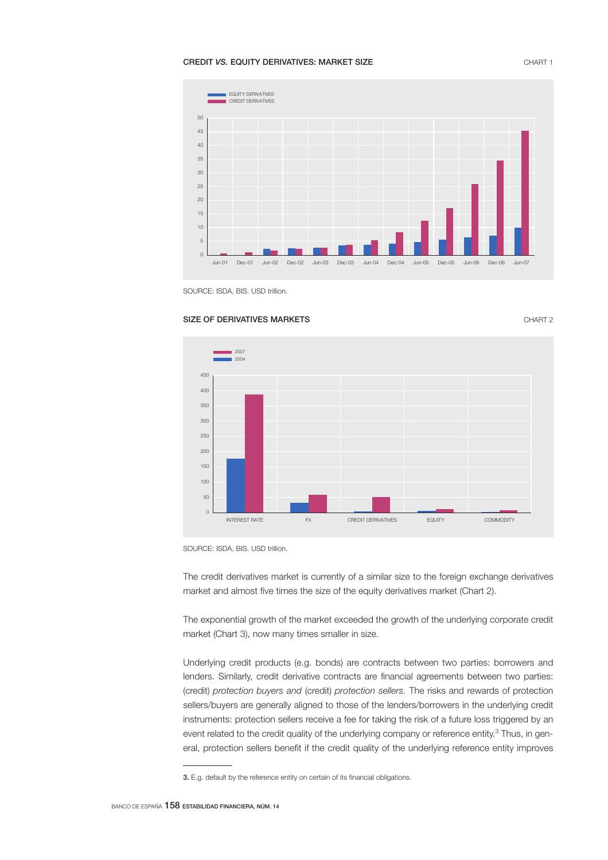## **CREDIT VS. EQUITY DERIVATIVES: MARKET SIZE CHART 1**



SOURCE: ISDA, BIS. USD trillion.

### SIZE OF DERIVATIVES MARKETS CHART 2



SOURCE: ISDA, BIS. USD trillion.

The credit derivatives market is currently of a similar size to the foreign exchange derivatives market and almost five times the size of the equity derivatives market (Chart 2).

The exponential growth of the market exceeded the growth of the underlying corporate credit market (Chart 3), now many times smaller in size.

Underlying credit products (e.g. bonds) are contracts between two parties: borrowers and lenders. Similarly, credit derivative contracts are financial agreements between two parties: (credit) *protection buyers and* (credit) *protection sellers.* The risks and rewards of protection sellers/buyers are generally aligned to those of the lenders/borrowers in the underlying credit instruments: protection sellers receive a fee for taking the risk of a future loss triggered by an event related to the credit quality of the underlying company or reference entity. ${}^{3}$  Thus, in general, protection sellers benefit if the credit quality of the underlying reference entity improves

<sup>3.</sup> E.g. default by the reference entity on certain of its financial obligations.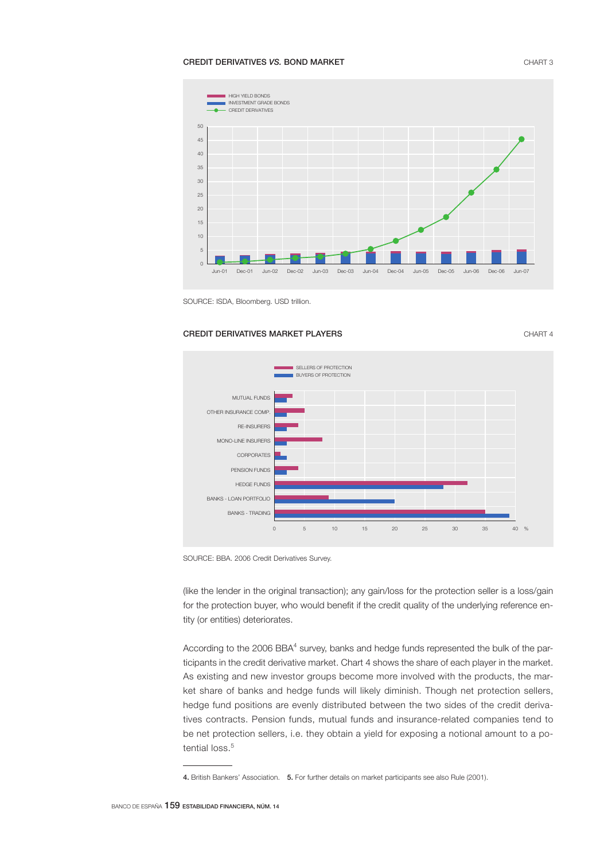## CREDIT DERIVATIVES VS. BOND MARKET **CHART 3** CHART 3



SOURCE: ISDA, Bloomberg. USD trillion.

### CREDIT DERIVATIVES MARKET PLAYERS CHART 4



SOURCE: BBA. 2006 Credit Derivatives Survey.

(like the lender in the original transaction); any gain/loss for the protection seller is a loss/gain for the protection buyer, who would benefit if the credit quality of the underlying reference entity (or entities) deteriorates.

According to the 2006 BBA<sup>4</sup> survey, banks and hedge funds represented the bulk of the participants in the credit derivative market. Chart 4 shows the share of each player in the market. As existing and new investor groups become more involved with the products, the market share of banks and hedge funds will likely diminish. Though net protection sellers, hedge fund positions are evenly distributed between the two sides of the credit derivatives contracts. Pension funds, mutual funds and insurance-related companies tend to be net protection sellers, i.e. they obtain a yield for exposing a notional amount to a potential loss.<sup>5</sup>

<sup>4.</sup> British Bankers' Association. 5. For further details on market participants see also Rule (2001).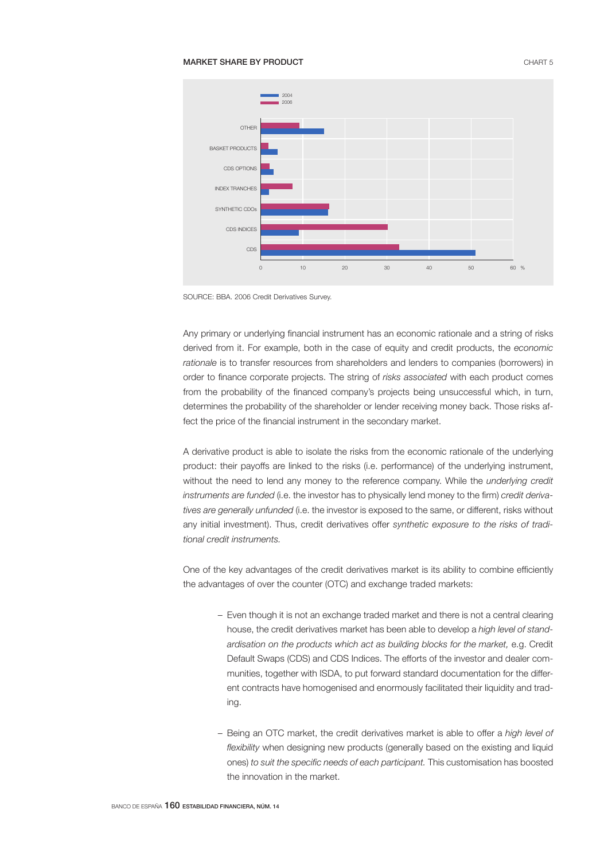### **MARKET SHARE BY PRODUCT CHART 5**



SOURCE: BBA. 2006 Credit Derivatives Survey.

Any primary or underlying financial instrument has an economic rationale and a string of risks derived from it. For example, both in the case of equity and credit products, the *economic*  rationale is to transfer resources from shareholders and lenders to companies (borrowers) in order to finance corporate projects. The string of *risks associated* with each product comes from the probability of the financed company's projects being unsuccessful which, in turn, determines the probability of the shareholder or lender receiving money back. Those risks affect the price of the financial instrument in the secondary market.

A derivative product is able to isolate the risks from the economic rationale of the underlying product: their payoffs are linked to the risks (i.e. performance) of the underlying instrument, without the need to lend any money to the reference company. While the *underlying credit instruments are funded* (i.e. the investor has to physically lend money to the firm) *credit derivatives are generally unfunded* (i.e. the investor is exposed to the same, or different, risks without any initial investment). Thus, credit derivatives offer *synthetic exposure to the risks of traditional credit instruments.* 

One of the key advantages of the credit derivatives market is its ability to combine efficiently the advantages of over the counter (OTC) and exchange traded markets:

- Even though it is not an exchange traded market and there is not a central clearing house, the credit derivatives market has been able to develop a *high level of standardisation on the products which act as building blocks for the market,* e.g. Credit Default Swaps (CDS) and CDS Indices. The efforts of the investor and dealer communities, together with ISDA, to put forward standard documentation for the different contracts have homogenised and enormously facilitated their liquidity and trading.
- Being an OTC market, the credit derivatives market is able to offer a *high level of flexibility* when designing new products (generally based on the existing and liquid ones) *to suit the specific needs of each participant.* This customisation has boosted the innovation in the market.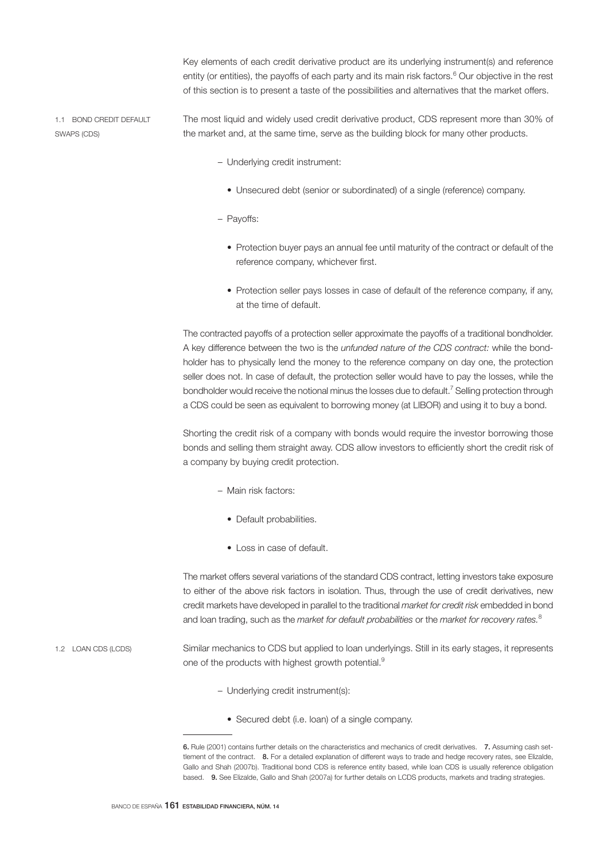Key elements of each credit derivative product are its underlying instrument(s) and reference entity (or entities), the payoffs of each party and its main risk factors.<sup>6</sup> Our objective in the rest of this section is to present a taste of the possibilities and alternatives that the market offers.

The most liquid and widely used credit derivative product, CDS represent more than 30% of the market and, at the same time, serve as the building block for many other products. 1.1 BOND CREDIT DEFAULT SWAPS (CDS)

- Underlying credit instrument:
	- Unsecured debt (senior or subordinated) of a single (reference) company.
- Payoffs:
	- Protection buyer pays an annual fee until maturity of the contract or default of the reference company, whichever first.
	- Protection seller pays losses in case of default of the reference company, if any, at the time of default.

The contracted payoffs of a protection seller approximate the payoffs of a traditional bondholder. A key difference between the two is the *unfunded nature of the CDS contract:* while the bondholder has to physically lend the money to the reference company on day one, the protection seller does not. In case of default, the protection seller would have to pay the losses, while the bondholder would receive the notional minus the losses due to default.7 Selling protection through a CDS could be seen as equivalent to borrowing money (at LIBOR) and using it to buy a bond.

Shorting the credit risk of a company with bonds would require the investor borrowing those bonds and selling them straight away. CDS allow investors to efficiently short the credit risk of a company by buying credit protection.

- Main risk factors:
	- Default probabilities.
	- Loss in case of default.

The market offers several variations of the standard CDS contract, letting investors take exposure to either of the above risk factors in isolation. Thus, through the use of credit derivatives, new credit markets have developed in parallel to the traditional *market for credit risk* embedded in bond and loan trading, such as the *market for default probabilities* or the *market for recovery rates.*<sup>8</sup>

- Similar mechanics to CDS but applied to loan underlyings. Still in its early stages, it represents one of the products with highest growth potential.<sup>9</sup> 1.2 LOAN CDS (LCDS)
	- Underlying credit instrument(s):
		- Secured debt (i.e. loan) of a single company.

<sup>6.</sup> Rule (2001) contains further details on the characteristics and mechanics of credit derivatives. 7. Assuming cash settlement of the contract. 8. For a detailed explanation of different ways to trade and hedge recovery rates, see Elizalde, Gallo and Shah (2007b). Traditional bond CDS is reference entity based, while loan CDS is usually reference obligation based. 9. See Elizalde, Gallo and Shah (2007a) for further details on LCDS products, markets and trading strategies.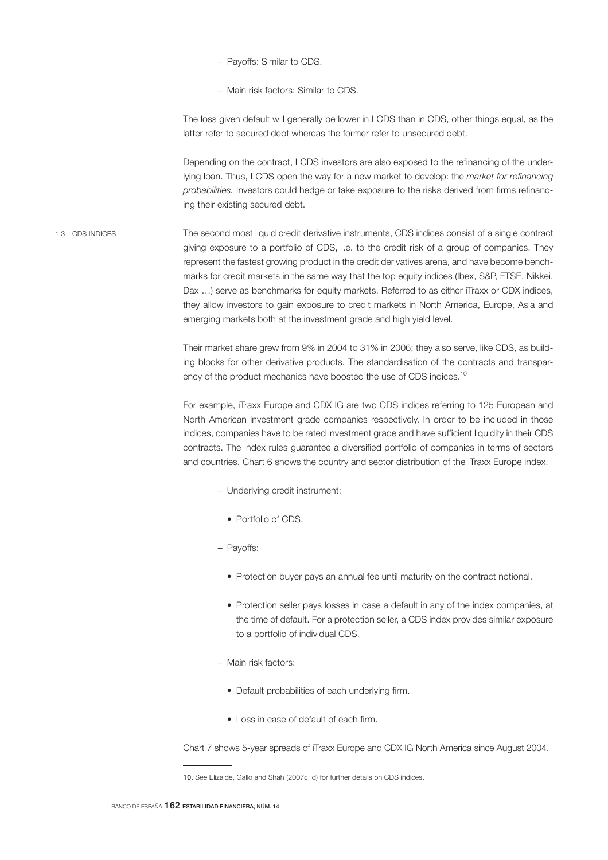- Payoffs: Similar to CDS.
- Main risk factors: Similar to CDS.

The loss given default will generally be lower in LCDS than in CDS, other things equal, as the latter refer to secured debt whereas the former refer to unsecured debt.

Depending on the contract, LCDS investors are also exposed to the refinancing of the underlying loan. Thus, LCDS open the way for a new market to develop: the *market for refinancing probabilities.* Investors could hedge or take exposure to the risks derived from firms refinancing their existing secured debt.

The second most liquid credit derivative instruments, CDS indices consist of a single contract giving exposure to a portfolio of CDS, i.e. to the credit risk of a group of companies. They represent the fastest growing product in the credit derivatives arena, and have become benchmarks for credit markets in the same way that the top equity indices (Ibex, S&P, FTSE, Nikkei, Dax ...) serve as benchmarks for equity markets. Referred to as either iTraxx or CDX indices, they allow investors to gain exposure to credit markets in North America, Europe, Asia and emerging markets both at the investment grade and high yield level. 1.3 CDS INDICES

> Their market share grew from 9% in 2004 to 31% in 2006; they also serve, like CDS, as building blocks for other derivative products. The standardisation of the contracts and transparency of the product mechanics have boosted the use of CDS indices.<sup>10</sup>

> For example, iTraxx Europe and CDX IG are two CDS indices referring to 125 European and North American investment grade companies respectively. In order to be included in those indices, companies have to be rated investment grade and have sufficient liquidity in their CDS contracts. The index rules guarantee a diversified portfolio of companies in terms of sectors and countries. Chart 6 shows the country and sector distribution of the iTraxx Europe index.

- Underlying credit instrument:
	- Portfolio of CDS.
- Payoffs:
	- Protection buyer pays an annual fee until maturity on the contract notional.
	- Protection seller pays losses in case a default in any of the index companies, at the time of default. For a protection seller, a CDS index provides similar exposure to a portfolio of individual CDS.
- Main risk factors:
	- Default probabilities of each underlying firm.
	- Loss in case of default of each firm.

Chart 7 shows 5-year spreads of iTraxx Europe and CDX IG North America since August 2004.

<sup>10.</sup> See Elizalde, Gallo and Shah (2007c, d) for further details on CDS indices.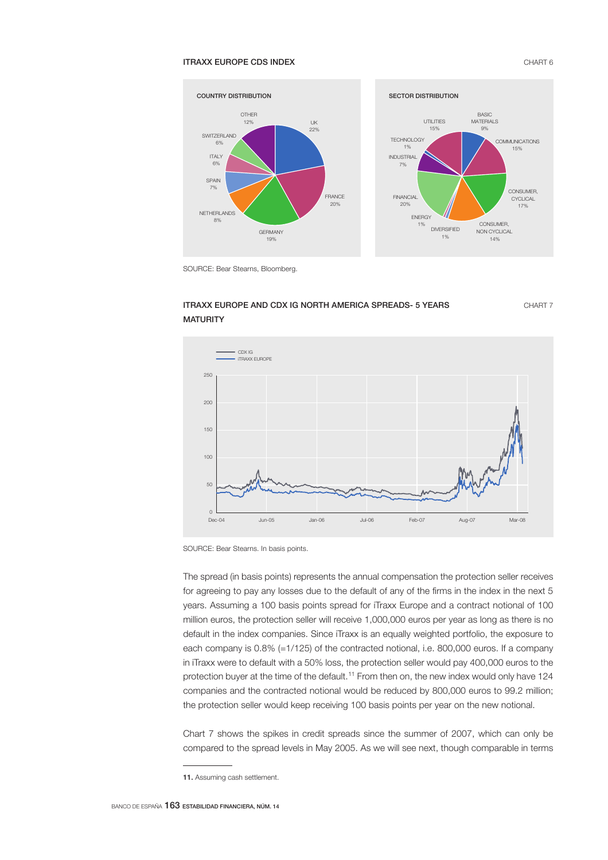### **ITRAXX EUROPE CDS INDEX CHART 6**



SOURCE: Bear Stearns, Bloomberg.

### ITRAXX EUROPE AND CDX IG NORTH AMERICA SPREADS- 5 YEARS CHART 7 **MATURITY**



SOURCE: Bear Stearns. In basis points.

The spread (in basis points) represents the annual compensation the protection seller receives for agreeing to pay any losses due to the default of any of the firms in the index in the next 5 years. Assuming a 100 basis points spread for iTraxx Europe and a contract notional of 100 million euros, the protection seller will receive 1,000,000 euros per year as long as there is no default in the index companies. Since iTraxx is an equally weighted portfolio, the exposure to each company is 0.8% (=1/125) of the contracted notional, i.e. 800,000 euros. If a company in iTraxx were to default with a 50% loss, the protection seller would pay 400,000 euros to the protection buyer at the time of the default.<sup>11</sup> From then on, the new index would only have 124 companies and the contracted notional would be reduced by 800,000 euros to 99.2 million; the protection seller would keep receiving 100 basis points per year on the new notional.

Chart 7 shows the spikes in credit spreads since the summer of 2007, which can only be compared to the spread levels in May 2005. As we will see next, though comparable in terms

<sup>11.</sup> Assuming cash settlement.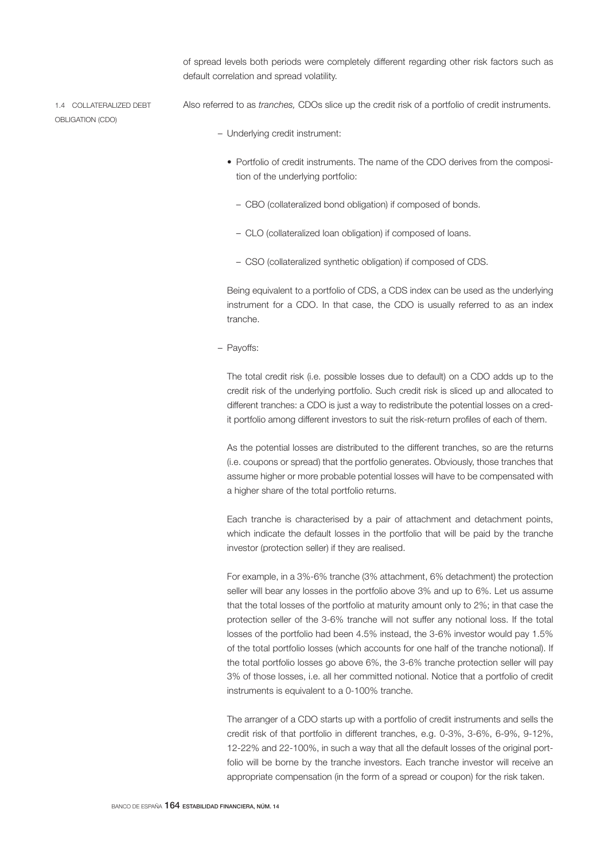of spread levels both periods were completely different regarding other risk factors such as default correlation and spread volatility.

1.4 COLLATERALIZED DEBT OBLIGATION (CDO)

- Also referred to as *tranches,* CDOs slice up the credit risk of a portfolio of credit instruments.
	- Underlying credit instrument:
		- Portfolio of credit instruments. The name of the CDO derives from the composition of the underlying portfolio:
			- CBO (collateralized bond obligation) if composed of bonds.
			- CLO (collateralized loan obligation) if composed of loans.
			- CSO (collateralized synthetic obligation) if composed of CDS.

Being equivalent to a portfolio of CDS, a CDS index can be used as the underlying instrument for a CDO. In that case, the CDO is usually referred to as an index tranche.

– Payoffs:

 The total credit risk (i.e. possible losses due to default) on a CDO adds up to the credit risk of the underlying portfolio. Such credit risk is sliced up and allocated to different tranches: a CDO is just a way to redistribute the potential losses on a credit portfolio among different investors to suit the risk-return profiles of each of them.

 As the potential losses are distributed to the different tranches, so are the returns (i.e. coupons or spread) that the portfolio generates. Obviously, those tranches that assume higher or more probable potential losses will have to be compensated with a higher share of the total portfolio returns.

 Each tranche is characterised by a pair of attachment and detachment points, which indicate the default losses in the portfolio that will be paid by the tranche investor (protection seller) if they are realised.

 For example, in a 3%-6% tranche (3% attachment, 6% detachment) the protection seller will bear any losses in the portfolio above 3% and up to 6%. Let us assume that the total losses of the portfolio at maturity amount only to 2%; in that case the protection seller of the 3-6% tranche will not suffer any notional loss. If the total losses of the portfolio had been 4.5% instead, the 3-6% investor would pay 1.5% of the total portfolio losses (which accounts for one half of the tranche notional). If the total portfolio losses go above 6%, the 3-6% tranche protection seller will pay 3% of those losses, i.e. all her committed notional. Notice that a portfolio of credit instruments is equivalent to a 0-100% tranche.

 The arranger of a CDO starts up with a portfolio of credit instruments and sells the credit risk of that portfolio in different tranches, e.g. 0-3%, 3-6%, 6-9%, 9-12%, 12-22% and 22-100%, in such a way that all the default losses of the original portfolio will be borne by the tranche investors. Each tranche investor will receive an appropriate compensation (in the form of a spread or coupon) for the risk taken.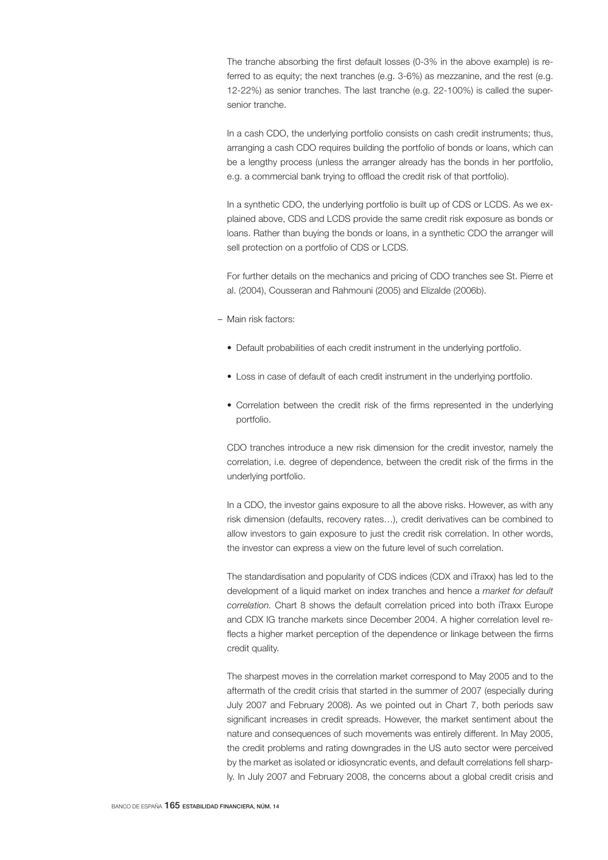The tranche absorbing the first default losses (0-3% in the above example) is referred to as equity; the next tranches (e.g. 3-6%) as mezzanine, and the rest (e.g. 12-22%) as senior tranches. The last tranche (e.g. 22-100%) is called the supersenior tranche.

 In a cash CDO, the underlying portfolio consists on cash credit instruments; thus, arranging a cash CDO requires building the portfolio of bonds or loans, which can be a lengthy process (unless the arranger already has the bonds in her portfolio, e.g. a commercial bank trying to offload the credit risk of that portfolio).

 In a synthetic CDO, the underlying portfolio is built up of CDS or LCDS. As we explained above, CDS and LCDS provide the same credit risk exposure as bonds or loans. Rather than buying the bonds or loans, in a synthetic CDO the arranger will sell protection on a portfolio of CDS or LCDS.

 For further details on the mechanics and pricing of CDO tranches see St. Pierre et al. (2004), Cousseran and Rahmouni (2005) and Elizalde (2006b).

- Main risk factors:
	- Default probabilities of each credit instrument in the underlying portfolio.
	- Loss in case of default of each credit instrument in the underlying portfolio.
	- Correlation between the credit risk of the firms represented in the underlying portfolio.

 CDO tranches introduce a new risk dimension for the credit investor, namely the correlation, i.e. degree of dependence, between the credit risk of the firms in the underlying portfolio.

 In a CDO, the investor gains exposure to all the above risks. However, as with any risk dimension (defaults, recovery rates…), credit derivatives can be combined to allow investors to gain exposure to just the credit risk correlation. In other words, the investor can express a view on the future level of such correlation.

 The standardisation and popularity of CDS indices (CDX and iTraxx) has led to the development of a liquid market on index tranches and hence a *market for default correlation.* Chart 8 shows the default correlation priced into both iTraxx Europe and CDX IG tranche markets since December 2004. A higher correlation level reflects a higher market perception of the dependence or linkage between the firms credit quality.

 The sharpest moves in the correlation market correspond to May 2005 and to the aftermath of the credit crisis that started in the summer of 2007 (especially during July 2007 and February 2008). As we pointed out in Chart 7, both periods saw significant increases in credit spreads. However, the market sentiment about the nature and consequences of such movements was entirely different. In May 2005, the credit problems and rating downgrades in the US auto sector were perceived by the market as isolated or idiosyncratic events, and default correlations fell sharply. In July 2007 and February 2008, the concerns about a global credit crisis and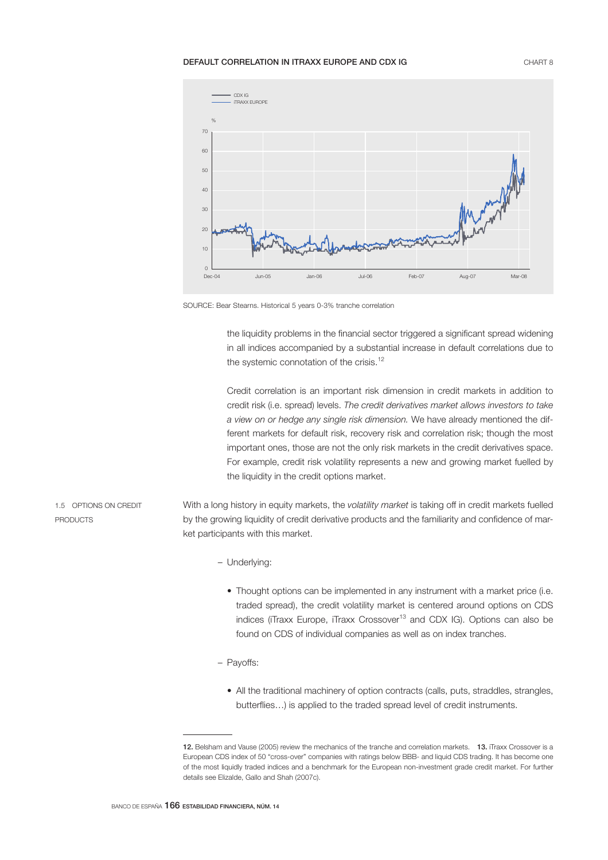### DEFAULT CORRELATION IN ITRAXX EUROPE AND CDX IG **CHART 8** CHART 8



SOURCE: Bear Stearns. Historical 5 years 0-3% tranche correlation

the liquidity problems in the financial sector triggered a significant spread widening in all indices accompanied by a substantial increase in default correlations due to the systemic connotation of the crisis.<sup>12</sup>

 Credit correlation is an important risk dimension in credit markets in addition to credit risk (i.e. spread) levels. *The credit derivatives market allows investors to take a view on or hedge any single risk dimension.* We have already mentioned the different markets for default risk, recovery risk and correlation risk; though the most important ones, those are not the only risk markets in the credit derivatives space. For example, credit risk volatility represents a new and growing market fuelled by the liquidity in the credit options market.

With a long history in equity markets, the *volatility market* is taking off in credit markets fuelled by the growing liquidity of credit derivative products and the familiarity and confidence of market participants with this market. 1.5 OPTIONS ON CREDIT **PRODUCTS** 

- Underlying:
	- Thought options can be implemented in any instrument with a market price (i.e. traded spread), the credit volatility market is centered around options on CDS indices (iTraxx Europe, iTraxx Crossover<sup>13</sup> and CDX IG). Options can also be found on CDS of individual companies as well as on index tranches.
- Payoffs:
	- All the traditional machinery of option contracts (calls, puts, straddles, strangles, butterflies…) is applied to the traded spread level of credit instruments.

<sup>12.</sup> Belsham and Vause (2005) review the mechanics of the tranche and correlation markets. 13. iTraxx Crossover is a European CDS index of 50 "cross-over" companies with ratings below BBB- and liquid CDS trading. It has become one of the most liquidly traded indices and a benchmark for the European non-investment grade credit market. For further details see Elizalde, Gallo and Shah (2007c).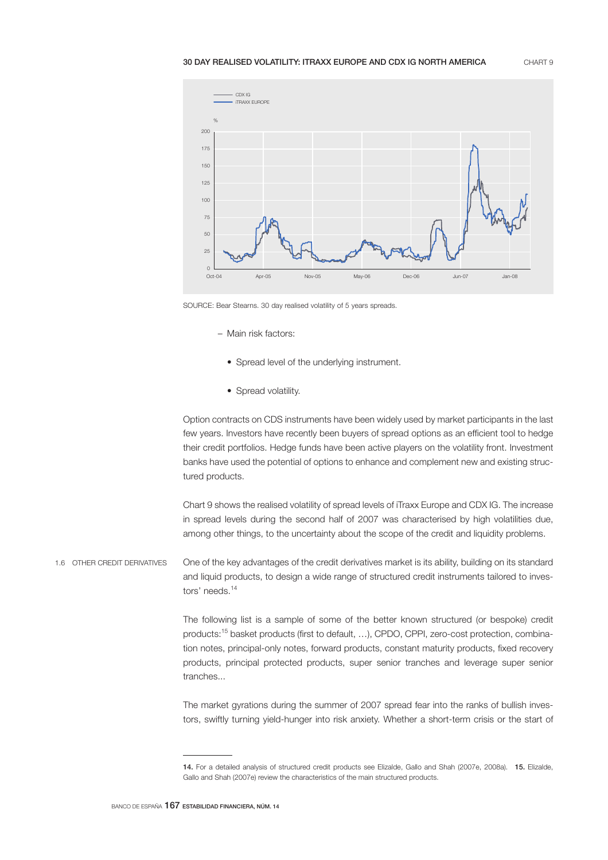### 30 DAY REALISED VOLATILITY: ITRAXX EUROPE AND CDX IG NORTH AMERICA CHART 9



SOURCE: Bear Stearns. 30 day realised volatility of 5 years spreads.

- Main risk factors:
	- Spread level of the underlying instrument.
	- Spread volatility.

Option contracts on CDS instruments have been widely used by market participants in the last few years. Investors have recently been buyers of spread options as an efficient tool to hedge their credit portfolios. Hedge funds have been active players on the volatility front. Investment banks have used the potential of options to enhance and complement new and existing structured products.

Chart 9 shows the realised volatility of spread levels of iTraxx Europe and CDX IG. The increase in spread levels during the second half of 2007 was characterised by high volatilities due, among other things, to the uncertainty about the scope of the credit and liquidity problems.

One of the key advantages of the credit derivatives market is its ability, building on its standard and liquid products, to design a wide range of structured credit instruments tailored to investors' needs.<sup>14</sup> 1.6 OTHER CREDIT DERIVATIVES

> The following list is a sample of some of the better known structured (or bespoke) credit products:15 basket products (first to default, …), CPDO, CPPI, zero-cost protection, combination notes, principal-only notes, forward products, constant maturity products, fixed recovery products, principal protected products, super senior tranches and leverage super senior tranches...

> The market gyrations during the summer of 2007 spread fear into the ranks of bullish investors, swiftly turning yield-hunger into risk anxiety. Whether a short-term crisis or the start of

<sup>14.</sup> For a detailed analysis of structured credit products see Elizalde, Gallo and Shah (2007e, 2008a). 15. Elizalde, Gallo and Shah (2007e) review the characteristics of the main structured products.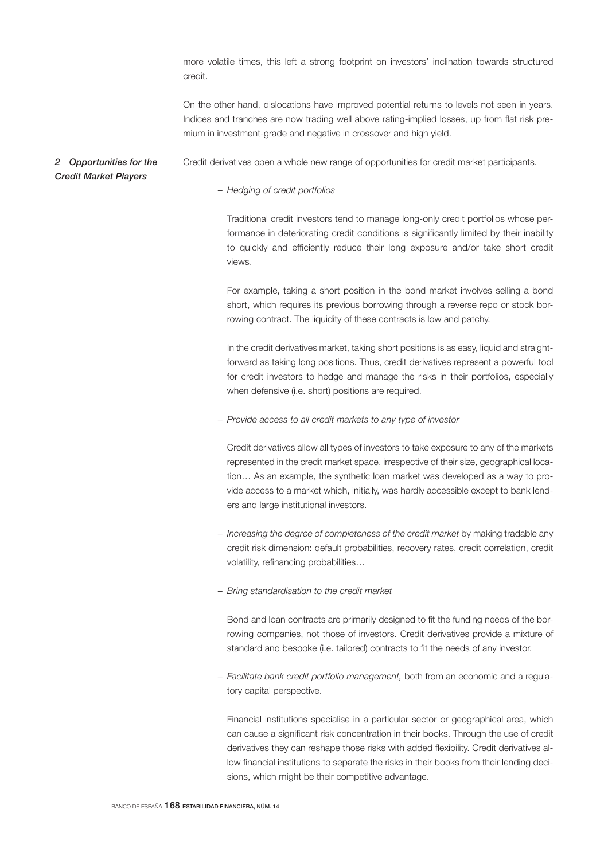more volatile times, this left a strong footprint on investors' inclination towards structured credit.

On the other hand, dislocations have improved potential returns to levels not seen in years. Indices and tranches are now trading well above rating-implied losses, up from flat risk premium in investment-grade and negative in crossover and high yield.

Credit derivatives open a whole new range of opportunities for credit market participants. *2 Opportunities for the Credit Market Players*

### – *Hedging of credit portfolios*

 Traditional credit investors tend to manage long-only credit portfolios whose performance in deteriorating credit conditions is significantly limited by their inability to quickly and efficiently reduce their long exposure and/or take short credit views.

 For example, taking a short position in the bond market involves selling a bond short, which requires its previous borrowing through a reverse repo or stock borrowing contract. The liquidity of these contracts is low and patchy.

In the credit derivatives market, taking short positions is as easy, liquid and straightforward as taking long positions. Thus, credit derivatives represent a powerful tool for credit investors to hedge and manage the risks in their portfolios, especially when defensive (i.e. short) positions are required.

## – *Provide access to all credit markets to any type of investor*

 Credit derivatives allow all types of investors to take exposure to any of the markets represented in the credit market space, irrespective of their size, geographical location… As an example, the synthetic loan market was developed as a way to provide access to a market which, initially, was hardly accessible except to bank lenders and large institutional investors.

- *Increasing the degree of completeness of the credit market* by making tradable any credit risk dimension: default probabilities, recovery rates, credit correlation, credit volatility, refinancing probabilities…
- *Bring standardisation to the credit market*

 Bond and loan contracts are primarily designed to fit the funding needs of the borrowing companies, not those of investors. Credit derivatives provide a mixture of standard and bespoke (i.e. tailored) contracts to fit the needs of any investor.

– *Facilitate bank credit portfolio management,* both from an economic and a regulatory capital perspective.

 Financial institutions specialise in a particular sector or geographical area, which can cause a significant risk concentration in their books. Through the use of credit derivatives they can reshape those risks with added flexibility. Credit derivatives allow financial institutions to separate the risks in their books from their lending decisions, which might be their competitive advantage.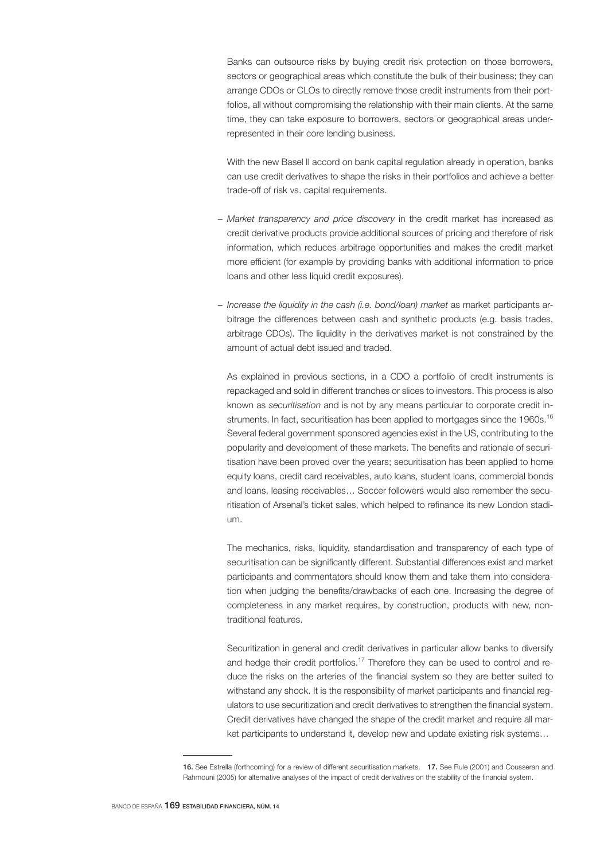Banks can outsource risks by buying credit risk protection on those borrowers, sectors or geographical areas which constitute the bulk of their business; they can arrange CDOs or CLOs to directly remove those credit instruments from their portfolios, all without compromising the relationship with their main clients. At the same time, they can take exposure to borrowers, sectors or geographical areas underrepresented in their core lending business.

 With the new Basel II accord on bank capital regulation already in operation, banks can use credit derivatives to shape the risks in their portfolios and achieve a better trade-off of risk vs. capital requirements.

- *Market transparency and price discovery* in the credit market has increased as credit derivative products provide additional sources of pricing and therefore of risk information, which reduces arbitrage opportunities and makes the credit market more efficient (for example by providing banks with additional information to price loans and other less liquid credit exposures).
- *Increase the liquidity in the cash (i.e. bond/loan) market* as market participants arbitrage the differences between cash and synthetic products (e.g. basis trades, arbitrage CDOs). The liquidity in the derivatives market is not constrained by the amount of actual debt issued and traded.

 As explained in previous sections, in a CDO a portfolio of credit instruments is repackaged and sold in different tranches or slices to investors. This process is also known as *securitisation* and is not by any means particular to corporate credit instruments. In fact, securitisation has been applied to mortgages since the 1960s.<sup>16</sup> Several federal government sponsored agencies exist in the US, contributing to the popularity and development of these markets. The benefits and rationale of securitisation have been proved over the years; securitisation has been applied to home equity loans, credit card receivables, auto loans, student loans, commercial bonds and loans, leasing receivables… Soccer followers would also remember the securitisation of Arsenal's ticket sales, which helped to refinance its new London stadium.

 The mechanics, risks, liquidity, standardisation and transparency of each type of securitisation can be significantly different. Substantial differences exist and market participants and commentators should know them and take them into consideration when judging the benefits/drawbacks of each one. Increasing the degree of completeness in any market requires, by construction, products with new, nontraditional features.

 Securitization in general and credit derivatives in particular allow banks to diversify and hedge their credit portfolios.<sup>17</sup> Therefore they can be used to control and reduce the risks on the arteries of the financial system so they are better suited to withstand any shock. It is the responsibility of market participants and financial regulators to use securitization and credit derivatives to strengthen the financial system. Credit derivatives have changed the shape of the credit market and require all market participants to understand it, develop new and update existing risk systems…

<sup>16.</sup> See Estrella (forthcoming) for a review of different securitisation markets. 17. See Rule (2001) and Cousseran and Rahmouni (2005) for alternative analyses of the impact of credit derivatives on the stability of the financial system.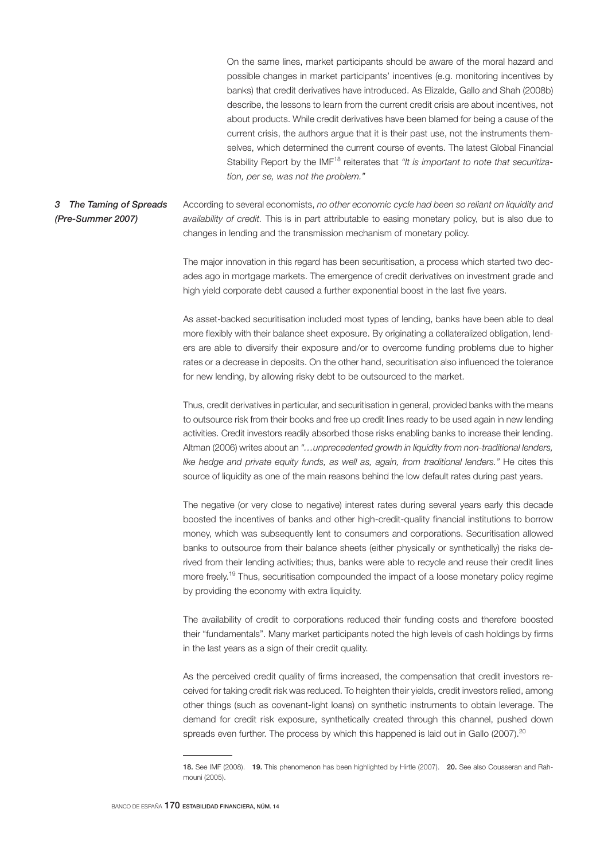On the same lines, market participants should be aware of the moral hazard and possible changes in market participants' incentives (e.g. monitoring incentives by banks) that credit derivatives have introduced. As Elizalde, Gallo and Shah (2008b) describe, the lessons to learn from the current credit crisis are about incentives, not about products. While credit derivatives have been blamed for being a cause of the current crisis, the authors argue that it is their past use, not the instruments themselves, which determined the current course of events. The latest Global Financial Stability Report by the IMF18 reiterates that *"It is important to note that securitization, per se, was not the problem."*

### According to several economists, *no other economic cycle had been so reliant on liquidity and availability of credit.* This is in part attributable to easing monetary policy, but is also due to changes in lending and the transmission mechanism of monetary policy. *3 The Taming of Spreads (Pre-Summer 2007)*

The major innovation in this regard has been securitisation, a process which started two decades ago in mortgage markets. The emergence of credit derivatives on investment grade and high yield corporate debt caused a further exponential boost in the last five years.

As asset-backed securitisation included most types of lending, banks have been able to deal more flexibly with their balance sheet exposure. By originating a collateralized obligation, lenders are able to diversify their exposure and/or to overcome funding problems due to higher rates or a decrease in deposits. On the other hand, securitisation also influenced the tolerance for new lending, by allowing risky debt to be outsourced to the market.

Thus, credit derivatives in particular, and securitisation in general, provided banks with the means to outsource risk from their books and free up credit lines ready to be used again in new lending activities. Credit investors readily absorbed those risks enabling banks to increase their lending. Altman (2006) writes about an *"…unprecedented growth in liquidity from non-traditional lenders,*  like hedge and private equity funds, as well as, again, from traditional lenders." He cites this source of liquidity as one of the main reasons behind the low default rates during past years.

The negative (or very close to negative) interest rates during several years early this decade boosted the incentives of banks and other high-credit-quality financial institutions to borrow money, which was subsequently lent to consumers and corporations. Securitisation allowed banks to outsource from their balance sheets (either physically or synthetically) the risks derived from their lending activities; thus, banks were able to recycle and reuse their credit lines more freely.<sup>19</sup> Thus, securitisation compounded the impact of a loose monetary policy regime by providing the economy with extra liquidity.

The availability of credit to corporations reduced their funding costs and therefore boosted their "fundamentals". Many market participants noted the high levels of cash holdings by firms in the last years as a sign of their credit quality.

As the perceived credit quality of firms increased, the compensation that credit investors received for taking credit risk was reduced. To heighten their yields, credit investors relied, among other things (such as covenant-light loans) on synthetic instruments to obtain leverage. The demand for credit risk exposure, synthetically created through this channel, pushed down spreads even further. The process by which this happened is laid out in Gallo (2007).<sup>20</sup>

<sup>18.</sup> See IMF (2008). 19. This phenomenon has been highlighted by Hirtle (2007). 20. See also Cousseran and Rahmouni (2005).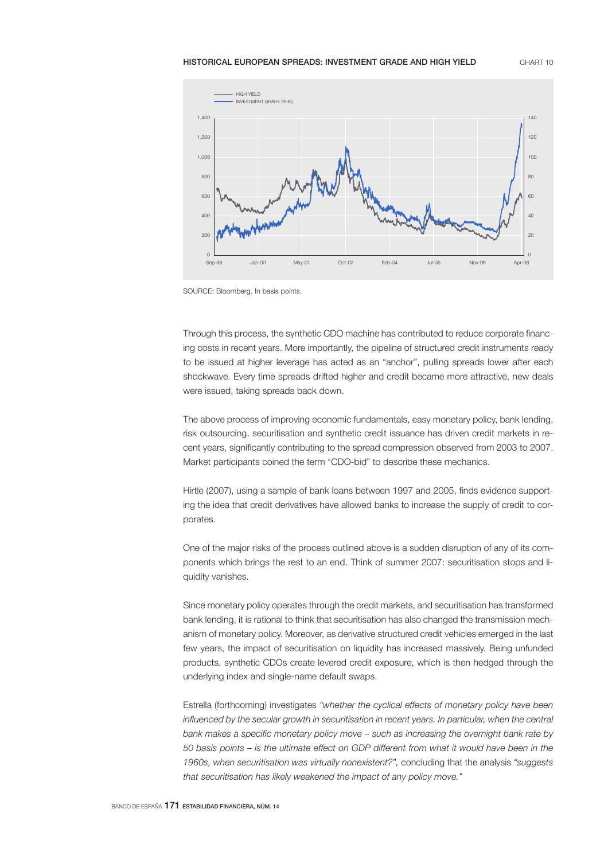

SOURCE: Bloomberg. In basis points.

Through this process, the synthetic CDO machine has contributed to reduce corporate financing costs in recent years. More importantly, the pipeline of structured credit instruments ready to be issued at higher leverage has acted as an "anchor", pulling spreads lower after each shockwave. Every time spreads drifted higher and credit became more attractive, new deals were issued, taking spreads back down.

The above process of improving economic fundamentals, easy monetary policy, bank lending, risk outsourcing, securitisation and synthetic credit issuance has driven credit markets in recent years, significantly contributing to the spread compression observed from 2003 to 2007. Market participants coined the term "CDO-bid" to describe these mechanics.

Hirtle (2007), using a sample of bank loans between 1997 and 2005, finds evidence supporting the idea that credit derivatives have allowed banks to increase the supply of credit to corporates.

One of the major risks of the process outlined above is a sudden disruption of any of its components which brings the rest to an end. Think of summer 2007: securitisation stops and liquidity vanishes.

Since monetary policy operates through the credit markets, and securitisation has transformed bank lending, it is rational to think that securitisation has also changed the transmission mechanism of monetary policy. Moreover, as derivative structured credit vehicles emerged in the last few years, the impact of securitisation on liquidity has increased massively. Being unfunded products, synthetic CDOs create levered credit exposure, which is then hedged through the underlying index and single-name default swaps.

Estrella (forthcoming) investigates *"whether the cyclical effects of monetary policy have been influenced by the secular growth in securitisation in recent years. In particular, when the central bank makes a specific monetary policy move – such as increasing the overnight bank rate by 50 basis points – is the ultimate effect on GDP different from what it would have been in the 1960s, when securitisation was virtually nonexistent?",* concluding that the analysis *"suggests that securitisation has likely weakened the impact of any policy move."*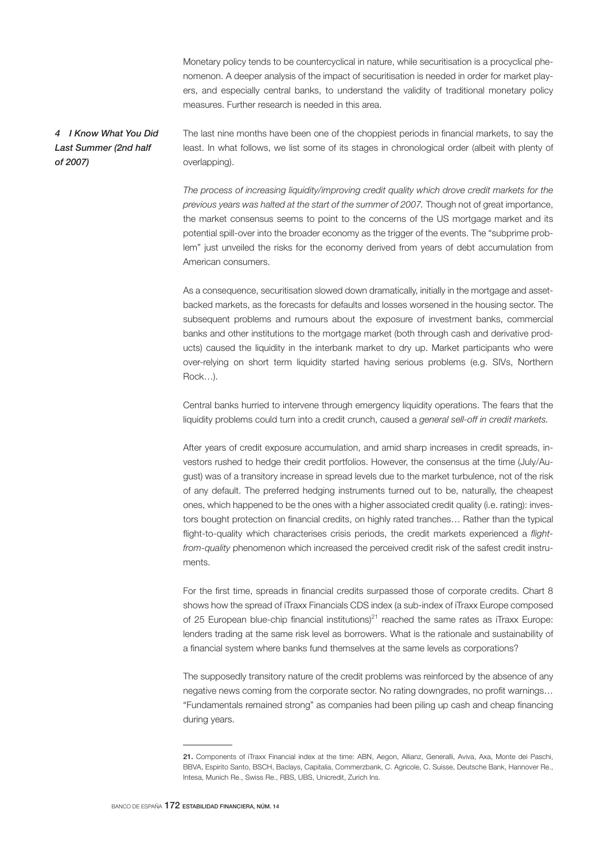Monetary policy tends to be countercyclical in nature, while securitisation is a procyclical phenomenon. A deeper analysis of the impact of securitisation is needed in order for market players, and especially central banks, to understand the validity of traditional monetary policy measures. Further research is needed in this area.

*4 I Know What You Did Last Summer (2nd half of 2007)*

The last nine months have been one of the choppiest periods in financial markets, to say the least. In what follows, we list some of its stages in chronological order (albeit with plenty of overlapping).

*The process of increasing liquidity/improving credit quality which drove credit markets for the previous years was halted at the start of the summer of 2007.* Though not of great importance, the market consensus seems to point to the concerns of the US mortgage market and its potential spill-over into the broader economy as the trigger of the events. The "subprime problem" just unveiled the risks for the economy derived from years of debt accumulation from American consumers.

As a consequence, securitisation slowed down dramatically, initially in the mortgage and assetbacked markets, as the forecasts for defaults and losses worsened in the housing sector. The subsequent problems and rumours about the exposure of investment banks, commercial banks and other institutions to the mortgage market (both through cash and derivative products) caused the liquidity in the interbank market to dry up. Market participants who were over-relying on short term liquidity started having serious problems (e.g. SIVs, Northern Rock…).

Central banks hurried to intervene through emergency liquidity operations. The fears that the liquidity problems could turn into a credit crunch, caused a *general sell-off in credit markets.* 

After years of credit exposure accumulation, and amid sharp increases in credit spreads, investors rushed to hedge their credit portfolios. However, the consensus at the time (July/August) was of a transitory increase in spread levels due to the market turbulence, not of the risk of any default. The preferred hedging instruments turned out to be, naturally, the cheapest ones, which happened to be the ones with a higher associated credit quality (i.e. rating): investors bought protection on financial credits, on highly rated tranches… Rather than the typical flight-to-quality which characterises crisis periods, the credit markets experienced a *flightfrom-quality* phenomenon which increased the perceived credit risk of the safest credit instruments.

For the first time, spreads in financial credits surpassed those of corporate credits. Chart 8 shows how the spread of iTraxx Financials CDS index (a sub-index of iTraxx Europe composed of 25 European blue-chip financial institutions) $^{21}$  reached the same rates as iTraxx Europe: lenders trading at the same risk level as borrowers. What is the rationale and sustainability of a financial system where banks fund themselves at the same levels as corporations?

The supposedly transitory nature of the credit problems was reinforced by the absence of any negative news coming from the corporate sector. No rating downgrades, no profit warnings… "Fundamentals remained strong" as companies had been piling up cash and cheap financing during years.

<sup>21.</sup> Components of iTraxx Financial index at the time: ABN, Aegon, Allianz, Generalli, Aviva, Axa, Monte dei Paschi, BBVA, Espirito Santo, BSCH, Baclays, Capitalia, Commerzbank, C. Agricole, C. Suisse, Deutsche Bank, Hannover Re., Intesa, Munich Re., Swiss Re., RBS, UBS, Unicredit, Zurich Ins.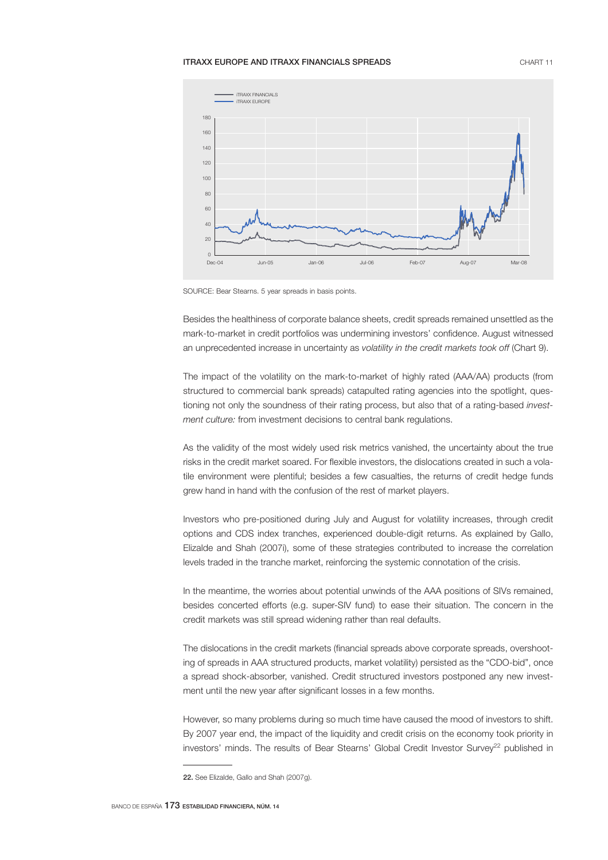### **ITRAXX EUROPE AND ITRAXX FINANCIALS SPREADS CHART 11**



SOURCE: Bear Stearns. 5 year spreads in basis points.

Besides the healthiness of corporate balance sheets, credit spreads remained unsettled as the mark-to-market in credit portfolios was undermining investors' confidence. August witnessed an unprecedented increase in uncertainty as *volatility in the credit markets took off* (Chart 9).

The impact of the volatility on the mark-to-market of highly rated (AAA/AA) products (from structured to commercial bank spreads) catapulted rating agencies into the spotlight, questioning not only the soundness of their rating process, but also that of a rating-based *investment culture:* from investment decisions to central bank regulations.

As the validity of the most widely used risk metrics vanished, the uncertainty about the true risks in the credit market soared. For flexible investors, the dislocations created in such a volatile environment were plentiful; besides a few casualties, the returns of credit hedge funds grew hand in hand with the confusion of the rest of market players.

Investors who pre-positioned during July and August for volatility increases, through credit options and CDS index tranches, experienced double-digit returns. As explained by Gallo, Elizalde and Shah (2007i), some of these strategies contributed to increase the correlation levels traded in the tranche market, reinforcing the systemic connotation of the crisis.

In the meantime, the worries about potential unwinds of the AAA positions of SIVs remained, besides concerted efforts (e.g. super-SIV fund) to ease their situation. The concern in the credit markets was still spread widening rather than real defaults.

The dislocations in the credit markets (financial spreads above corporate spreads, overshooting of spreads in AAA structured products, market volatility) persisted as the "CDO-bid", once a spread shock-absorber, vanished. Credit structured investors postponed any new investment until the new year after significant losses in a few months.

However, so many problems during so much time have caused the mood of investors to shift. By 2007 year end, the impact of the liquidity and credit crisis on the economy took priority in investors' minds. The results of Bear Stearns' Global Credit Investor Survey<sup>22</sup> published in

<sup>22.</sup> See Elizalde, Gallo and Shah (2007g).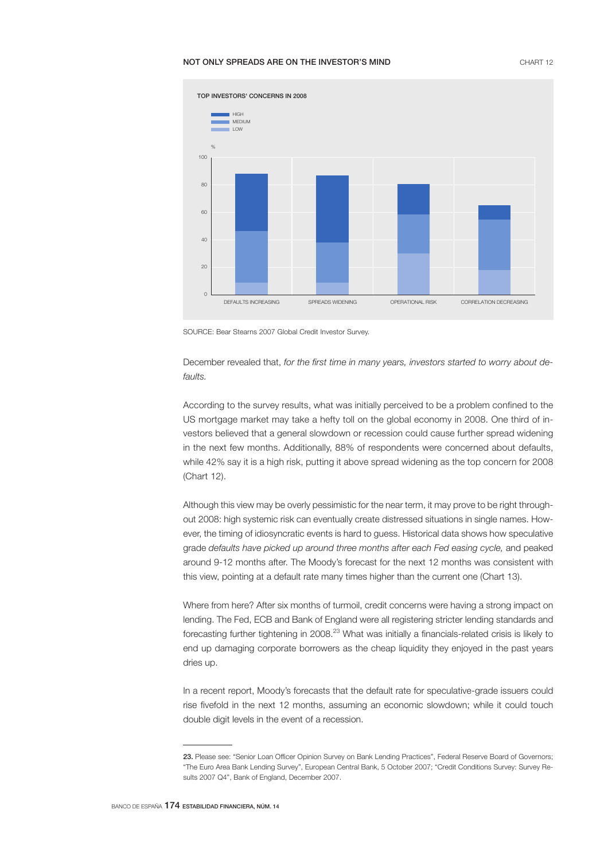### NOT ONLY SPREADS ARE ON THE INVESTOR'S MIND **CHART 12** CHART 12



SOURCE: Bear Stearns 2007 Global Credit Investor Survey.

December revealed that, *for the first time in many years, investors started to worry about defaults.*

According to the survey results, what was initially perceived to be a problem confined to the US mortgage market may take a hefty toll on the global economy in 2008. One third of investors believed that a general slowdown or recession could cause further spread widening in the next few months. Additionally, 88% of respondents were concerned about defaults, while 42% say it is a high risk, putting it above spread widening as the top concern for 2008 (Chart 12).

Although this view may be overly pessimistic for the near term, it may prove to be right throughout 2008: high systemic risk can eventually create distressed situations in single names. However, the timing of idiosyncratic events is hard to guess. Historical data shows how speculative grade *defaults have picked up around three months after each Fed easing cycle,* and peaked around 9-12 months after. The Moody's forecast for the next 12 months was consistent with this view, pointing at a default rate many times higher than the current one (Chart 13).

Where from here? After six months of turmoil, credit concerns were having a strong impact on lending. The Fed, ECB and Bank of England were all registering stricter lending standards and forecasting further tightening in 2008.<sup>23</sup> What was initially a financials-related crisis is likely to end up damaging corporate borrowers as the cheap liquidity they enjoyed in the past years dries up.

In a recent report, Moody's forecasts that the default rate for speculative-grade issuers could rise fivefold in the next 12 months, assuming an economic slowdown; while it could touch double digit levels in the event of a recession.

<sup>23.</sup> Please see: "Senior Loan Officer Opinion Survey on Bank Lending Practices", Federal Reserve Board of Governors; "The Euro Area Bank Lending Survey", European Central Bank, 5 October 2007; "Credit Conditions Survey: Survey Results 2007 Q4", Bank of England, December 2007.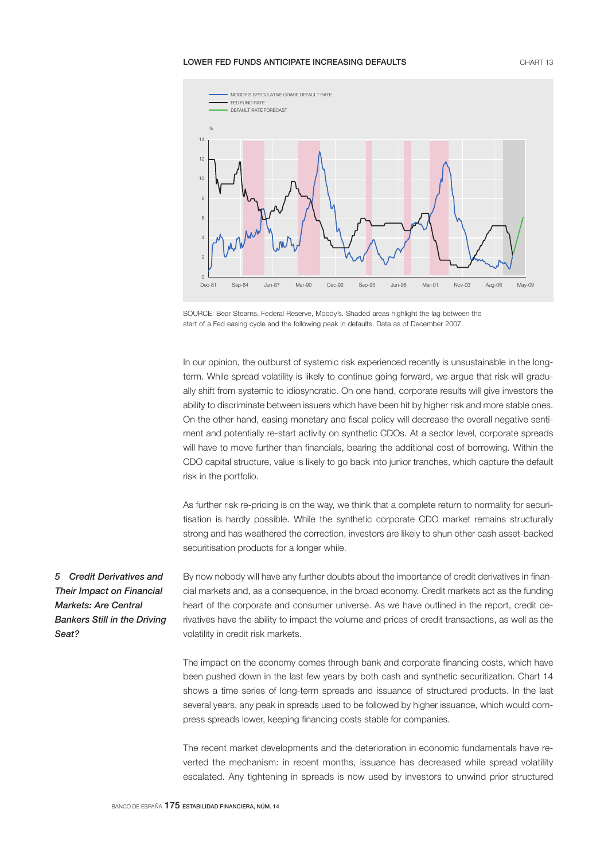### LOWER FED FUNDS ANTICIPATE INCREASING DEFAULTS **CHART 13**



SOURCE: Bear Stearns, Federal Reserve, Moody's. Shaded areas highlight the lag between the start of a Fed easing cycle and the following peak in defaults. Data as of December 2007.

In our opinion, the outburst of systemic risk experienced recently is unsustainable in the longterm. While spread volatility is likely to continue going forward, we argue that risk will gradually shift from systemic to idiosyncratic. On one hand, corporate results will give investors the ability to discriminate between issuers which have been hit by higher risk and more stable ones. On the other hand, easing monetary and fiscal policy will decrease the overall negative sentiment and potentially re-start activity on synthetic CDOs. At a sector level, corporate spreads will have to move further than financials, bearing the additional cost of borrowing. Within the CDO capital structure, value is likely to go back into junior tranches, which capture the default risk in the portfolio.

As further risk re-pricing is on the way, we think that a complete return to normality for securitisation is hardly possible. While the synthetic corporate CDO market remains structurally strong and has weathered the correction, investors are likely to shun other cash asset-backed securitisation products for a longer while.

*5 Credit Derivatives and Their Impact on Financial Markets: Are Central Bankers Still in the Driving Seat?*

By now nobody will have any further doubts about the importance of credit derivatives in financial markets and, as a consequence, in the broad economy. Credit markets act as the funding heart of the corporate and consumer universe. As we have outlined in the report, credit derivatives have the ability to impact the volume and prices of credit transactions, as well as the volatility in credit risk markets.

The impact on the economy comes through bank and corporate financing costs, which have been pushed down in the last few years by both cash and synthetic securitization. Chart 14 shows a time series of long-term spreads and issuance of structured products. In the last several years, any peak in spreads used to be followed by higher issuance, which would compress spreads lower, keeping financing costs stable for companies.

The recent market developments and the deterioration in economic fundamentals have reverted the mechanism: in recent months, issuance has decreased while spread volatility escalated. Any tightening in spreads is now used by investors to unwind prior structured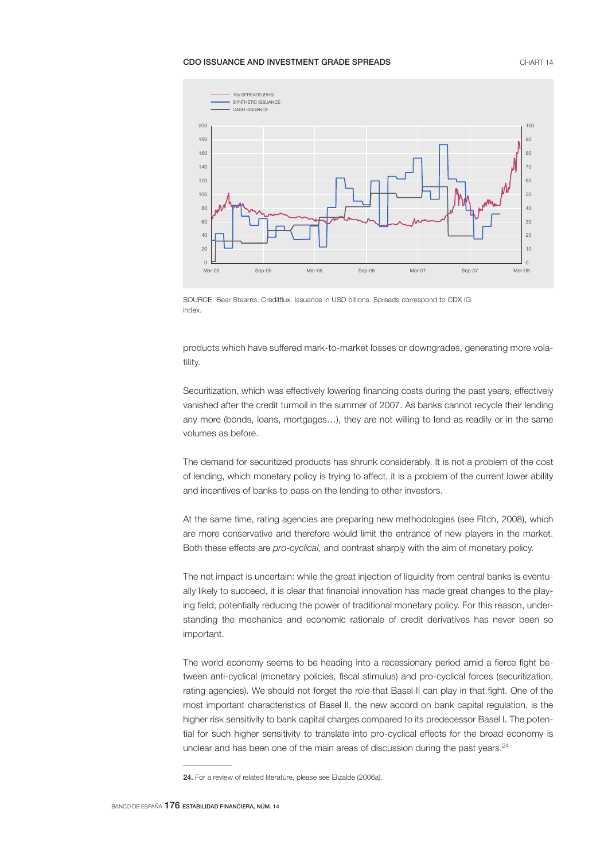### CDO ISSUANCE AND INVESTMENT GRADE SPREADS CHART 14



SOURCE: Bear Stearns, Creditflux. Issuance in USD billions. Spreads correspond to CDX IG index.

products which have suffered mark-to-market losses or downgrades, generating more volatility.

Securitization, which was effectively lowering financing costs during the past years, effectively vanished after the credit turmoil in the summer of 2007. As banks cannot recycle their lending any more (bonds, loans, mortgages…), they are not willing to lend as readily or in the same volumes as before.

The demand for securitized products has shrunk considerably. It is not a problem of the cost of lending, which monetary policy is trying to affect, it is a problem of the current lower ability and incentives of banks to pass on the lending to other investors.

At the same time, rating agencies are preparing new methodologies (see Fitch, 2008), which are more conservative and therefore would limit the entrance of new players in the market. Both these effects are *pro-cyclical,* and contrast sharply with the aim of monetary policy.

The net impact is uncertain: while the great injection of liquidity from central banks is eventually likely to succeed, it is clear that financial innovation has made great changes to the playing field, potentially reducing the power of traditional monetary policy. For this reason, understanding the mechanics and economic rationale of credit derivatives has never been so important.

The world economy seems to be heading into a recessionary period amid a fierce fight between anti-cyclical (monetary policies, fiscal stimulus) and pro-cyclical forces (securitization, rating agencies). We should not forget the role that Basel II can play in that fight. One of the most important characteristics of Basel II, the new accord on bank capital regulation, is the higher risk sensitivity to bank capital charges compared to its predecessor Basel I. The potential for such higher sensitivity to translate into pro-cyclical effects for the broad economy is unclear and has been one of the main areas of discussion during the past years.  $24$ 

<sup>24.</sup> For a review of related literature, please see Elizalde (2006a).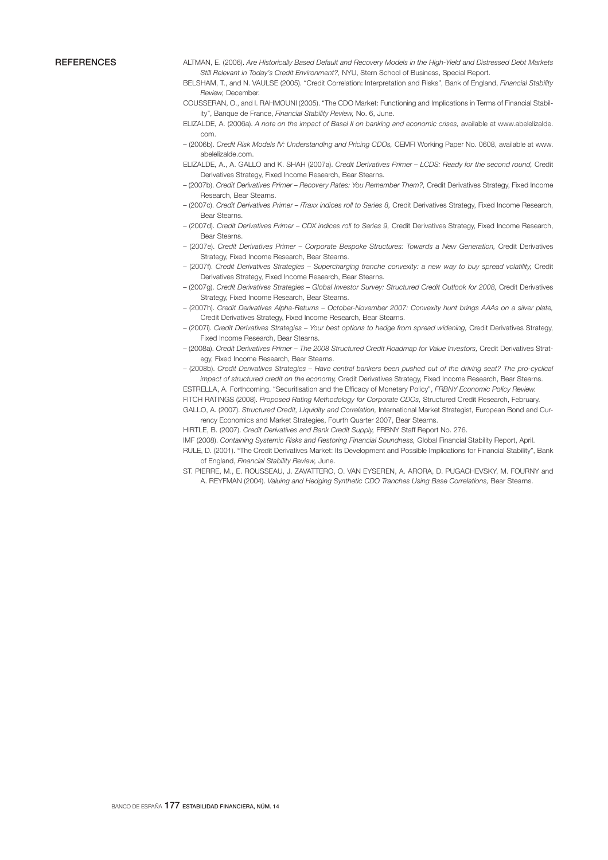### **REFERENCES**

ALTMAN, E. (2006). *Are Historically Based Default and Recovery Models in the High-Yield and Distressed Debt Markets Still Relevant in Today's Credit Environment?,* NYU, Stern School of Business, Special Report.

BELSHAM, T., and N. VAULSE (2005). "Credit Correlation: Interpretation and Risks", Bank of England, *Financial Stability Review,* December.

COUSSERAN, O., and I. RAHMOUNI (2005). "The CDO Market: Functioning and Implications in Terms of Financial Stability", Banque de France, *Financial Stability Review,* No. 6, June.

ELIZALDE, A. (2006a). *A note on the impact of Basel II on banking and economic crises,* available at www.abelelizalde. com.

– (2006b). *Credit Risk Models IV: Understanding and Pricing CDOs,* CEMFI Working Paper No. 0608, available at www. abelelizalde.com.

ELIZALDE, A., A. GALLO and K. SHAH (2007a). *Credit Derivatives Primer – LCDS: Ready for the second round,* Credit Derivatives Strategy, Fixed Income Research, Bear Stearns.

- (2007b). *Credit Derivatives Primer Recovery Rates: You Remember Them?,* Credit Derivatives Strategy, Fixed Income Research, Bear Stearns.
- (2007c). *Credit Derivatives Primer iTraxx indices roll to Series 8,* Credit Derivatives Strategy, Fixed Income Research, Bear Stearns.
- (2007d). *Credit Derivatives Primer CDX indices roll to Series 9,* Credit Derivatives Strategy, Fixed Income Research, Bear Stearns.
- (2007e). *Credit Derivatives Primer Corporate Bespoke Structures: Towards a New Generation,* Credit Derivatives Strategy, Fixed Income Research, Bear Stearns.
- (2007f). *Credit Derivatives Strategies Supercharging tranche convexity: a new way to buy spread volatility,* Credit Derivatives Strategy, Fixed Income Research, Bear Stearns.
- (2007g). *Credit Derivatives Strategies Global Investor Survey: Structured Credit Outlook for 2008,* Credit Derivatives Strategy, Fixed Income Research, Bear Stearns.
- (2007h). *Credit Derivatives Alpha-Returns October-November 2007: Convexity hunt brings AAAs on a silver plate,*  Credit Derivatives Strategy, Fixed Income Research, Bear Stearns.
- (2007i). *Credit Derivatives Strategies Your best options to hedge from spread widening,* Credit Derivatives Strategy, Fixed Income Research, Bear Stearns.
- (2008a). *Credit Derivatives Primer The 2008 Structured Credit Roadmap for Value Investors,* Credit Derivatives Strategy, Fixed Income Research, Bear Stearns.

– (2008b). *Credit Derivatives Strategies – Have central bankers been pushed out of the driving seat? The pro-cyclical impact of structured credit on the economy,* Credit Derivatives Strategy, Fixed Income Research, Bear Stearns.

ESTRELLA, A. Forthcoming. "Securitisation and the Efficacy of Monetary Policy", *FRBNY Economic Policy Review.* FITCH RATINGS (2008). *Proposed Rating Methodology for Corporate CDOs,* Structured Credit Research, February. GALLO, A. (2007). *Structured Credit, Liquidity and Correlation,* International Market Strategist, European Bond and Cur-

rency Economics and Market Strategies, Fourth Quarter 2007, Bear Stearns.

HIRTLE, B. (2007). *Credit Derivatives and Bank Credit Supply,* FRBNY Staff Report No. 276.

IMF (2008). *Containing Systemic Risks and Restoring Financial Soundness,* Global Financial Stability Report, April.

RULE, D. (2001). "The Credit Derivatives Market: Its Development and Possible Implications for Financial Stability", Bank of England, *Financial Stability Review,* June.

ST. PIERRE, M., E. ROUSSEAU, J. ZAVATTERO, O. VAN EYSEREN, A. ARORA, D. PUGACHEVSKY, M. FOURNY and A. REYFMAN (2004). *Valuing and Hedging Synthetic CDO Tranches Using Base Correlations,* Bear Stearns.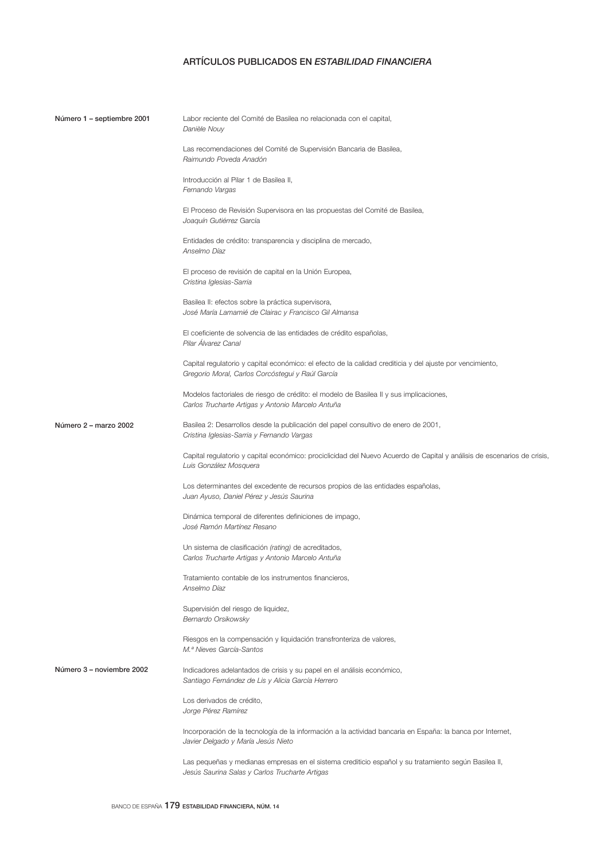# ARTÍCULOS PUBLICADOS EN *ESTABILIDAD FINANCIERA*

| Número 1 – septiembre 2001 | Labor reciente del Comité de Basilea no relacionada con el capital,<br>Danièle Nouy                                                                           |
|----------------------------|---------------------------------------------------------------------------------------------------------------------------------------------------------------|
|                            | Las recomendaciones del Comité de Supervisión Bancaria de Basilea,<br>Raimundo Poveda Anadón                                                                  |
|                            | Introducción al Pilar 1 de Basilea II,<br>Fernando Vargas                                                                                                     |
|                            | El Proceso de Revisión Supervisora en las propuestas del Comité de Basilea,<br>Joaquín Gutiérrez García                                                       |
|                            | Entidades de crédito: transparencia y disciplina de mercado,<br>Anselmo Díaz                                                                                  |
|                            | El proceso de revisión de capital en la Unión Europea,<br>Cristina Iglesias-Sarria                                                                            |
|                            | Basilea II: efectos sobre la práctica supervisora,<br>José María Lamamié de Clairac y Francisco Gil Almansa                                                   |
|                            | El coeficiente de solvencia de las entidades de crédito españolas,<br>Pilar Álvarez Canal                                                                     |
|                            | Capital regulatorio y capital económico: el efecto de la calidad crediticia y del ajuste por vencimiento,<br>Gregorio Moral, Carlos Corcóstegui y Raúl García |
|                            | Modelos factoriales de riesgo de crédito: el modelo de Basilea II y sus implicaciones,<br>Carlos Trucharte Artigas y Antonio Marcelo Antuña                   |
| Número 2 – marzo 2002      | Basilea 2: Desarrollos desde la publicación del papel consultivo de enero de 2001,<br>Cristina Iglesias-Sarria y Fernando Vargas                              |
|                            | Capital regulatorio y capital económico: prociclicidad del Nuevo Acuerdo de Capital y análisis de escenarios de crisis,<br>Luis González Mosquera             |
|                            | Los determinantes del excedente de recursos propios de las entidades españolas,<br>Juan Ayuso, Daniel Pérez y Jesús Saurina                                   |
|                            | Dinámica temporal de diferentes definiciones de impago,<br>José Ramón Martínez Resano                                                                         |
|                            | Un sistema de clasificación (rating) de acreditados,<br>Carlos Trucharte Artigas y Antonio Marcelo Antuña                                                     |
|                            | Tratamiento contable de los instrumentos financieros,<br>Anselmo Díaz                                                                                         |
|                            | Supervisión del riesgo de liquidez,<br>Bernardo Orsikowsky                                                                                                    |
|                            | Riesgos en la compensación y liquidación transfronteriza de valores,<br>M. <sup>a</sup> Nieves García-Santos                                                  |
| Número 3 – noviembre 2002  | Indicadores adelantados de crisis y su papel en el análisis económico,<br>Santiago Fernández de Lis y Alicia García Herrero                                   |
|                            | Los derivados de crédito,<br>Jorge Pérez Ramírez                                                                                                              |
|                            | Incorporación de la tecnología de la información a la actividad bancaria en España: la banca por Internet,<br>Javier Delgado y María Jesús Nieto              |
|                            | Las pequeñas y medianas empresas en el sistema crediticio español y su tratamiento según Basilea II,<br>Jesús Saurina Salas y Carlos Trucharte Artigas        |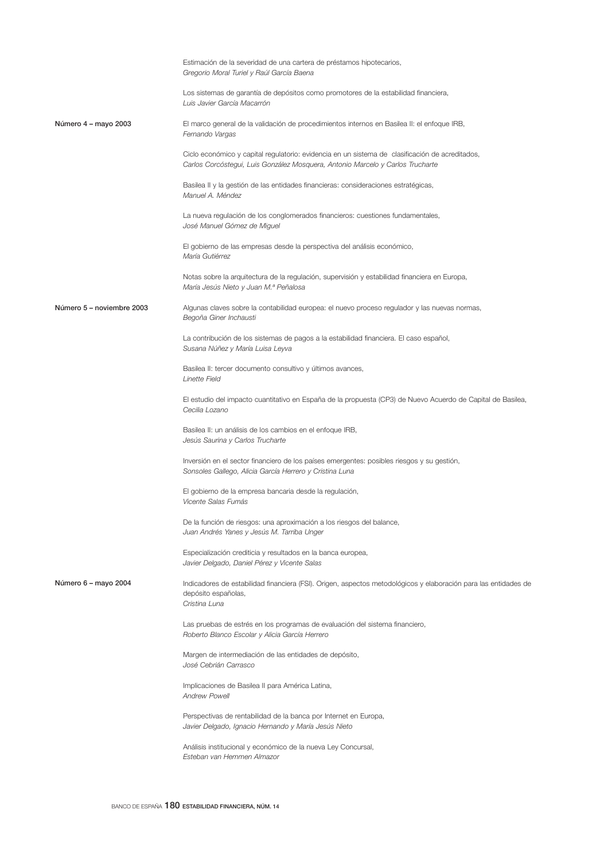|                           | Estimación de la severidad de una cartera de préstamos hipotecarios,<br>Gregorio Moral Turiel y Raúl García Baena                                                                 |
|---------------------------|-----------------------------------------------------------------------------------------------------------------------------------------------------------------------------------|
|                           | Los sistemas de garantía de depósitos como promotores de la estabilidad financiera,<br>Luis Javier García Macarrón                                                                |
| Número 4 – mayo 2003      | El marco general de la validación de procedimientos internos en Basilea II: el enfoque IRB,<br>Fernando Vargas                                                                    |
|                           | Ciclo económico y capital regulatorio: evidencia en un sistema de clasificación de acreditados,<br>Carlos Corcóstegui, Luis González Mosquera, Antonio Marcelo y Carlos Trucharte |
|                           | Basilea II y la gestión de las entidades financieras: consideraciones estratégicas,<br>Manuel A. Méndez                                                                           |
|                           | La nueva regulación de los conglomerados financieros: cuestiones fundamentales,<br>José Manuel Gómez de Miguel                                                                    |
|                           | El gobierno de las empresas desde la perspectiva del análisis económico,<br>María Gutiérrez                                                                                       |
|                           | Notas sobre la arquitectura de la regulación, supervisión y estabilidad financiera en Europa,<br>María Jesús Nieto y Juan M.ª Peñalosa                                            |
| Número 5 – noviembre 2003 | Algunas claves sobre la contabilidad europea: el nuevo proceso regulador y las nuevas normas,<br>Begoña Giner Inchausti                                                           |
|                           | La contribución de los sistemas de pagos a la estabilidad financiera. El caso español,<br>Susana Núñez y María Luisa Leyva                                                        |
|                           | Basilea II: tercer documento consultivo y últimos avances,<br><b>Linette Field</b>                                                                                                |
|                           | El estudio del impacto cuantitativo en España de la propuesta (CP3) de Nuevo Acuerdo de Capital de Basilea,<br>Cecilia Lozano                                                     |
|                           | Basilea II: un análisis de los cambios en el enfoque IRB,<br>Jesús Saurina y Carlos Trucharte                                                                                     |
|                           | Inversión en el sector financiero de los países emergentes: posibles riesgos y su gestión,<br>Sonsoles Gallego, Alicia García Herrero y Cristina Luna                             |
|                           | El gobierno de la empresa bancaria desde la regulación,<br>Vicente Salas Fumás                                                                                                    |
|                           | De la función de riesgos: una aproximación a los riesgos del balance,<br>Juan Andrés Yanes y Jesús M. Tarriba Unger                                                               |
|                           | Especialización crediticia y resultados en la banca europea,<br>Javier Delgado, Daniel Pérez y Vicente Salas                                                                      |
| Número 6 – mayo 2004      | Indicadores de estabilidad financiera (FSI). Origen, aspectos metodológicos y elaboración para las entidades de<br>depósito españolas,<br>Cristina Luna                           |
|                           | Las pruebas de estrés en los programas de evaluación del sistema financiero,<br>Roberto Blanco Escolar y Alicia García Herrero                                                    |
|                           | Margen de intermediación de las entidades de depósito,<br>José Cebrián Carrasco                                                                                                   |
|                           | Implicaciones de Basilea II para América Latina,<br><b>Andrew Powell</b>                                                                                                          |
|                           | Perspectivas de rentabilidad de la banca por Internet en Europa,<br>Javier Delgado, Ignacio Hernando y María Jesús Nieto                                                          |
|                           | Análisis institucional y económico de la nueva Ley Concursal,<br>Esteban van Hemmen Almazor                                                                                       |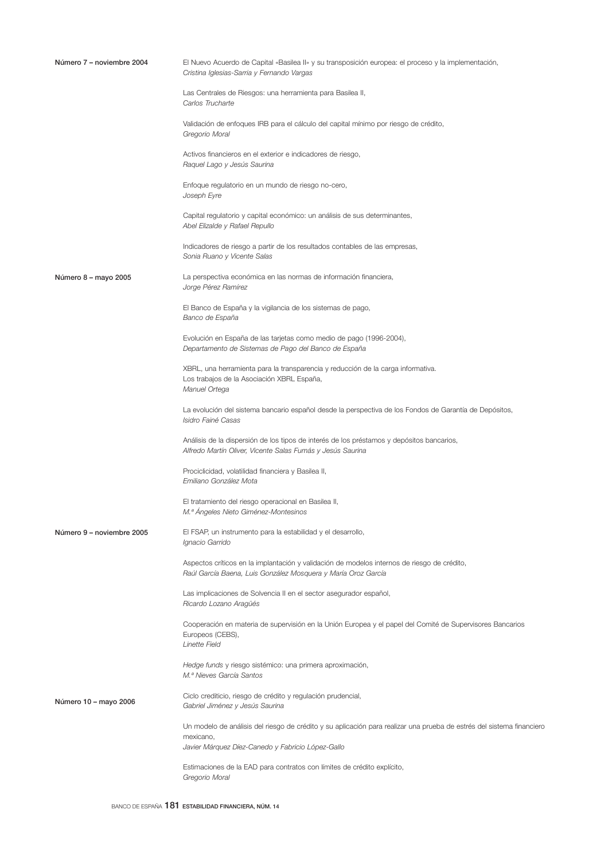| Número 7 – noviembre 2004 | El Nuevo Acuerdo de Capital «Basilea II» y su transposición europea: el proceso y la implementación,<br>Cristina Iglesias-Sarria y Fernando Vargas                                      |
|---------------------------|-----------------------------------------------------------------------------------------------------------------------------------------------------------------------------------------|
|                           | Las Centrales de Riesgos: una herramienta para Basilea II,<br>Carlos Trucharte                                                                                                          |
|                           | Validación de enfoques IRB para el cálculo del capital mínimo por riesgo de crédito,<br>Gregorio Moral                                                                                  |
|                           | Activos financieros en el exterior e indicadores de riesgo,<br>Raquel Lago y Jesús Saurina                                                                                              |
|                           | Enfoque regulatorio en un mundo de riesgo no-cero,<br>Joseph Eyre                                                                                                                       |
|                           | Capital regulatorio y capital económico: un análisis de sus determinantes,<br>Abel Elizalde y Rafael Repullo                                                                            |
|                           | Indicadores de riesgo a partir de los resultados contables de las empresas,<br>Sonia Ruano y Vicente Salas                                                                              |
| Número 8 - mayo 2005      | La perspectiva económica en las normas de información financiera,<br>Jorge Pérez Ramírez                                                                                                |
|                           | El Banco de España y la vigilancia de los sistemas de pago,<br>Banco de España                                                                                                          |
|                           | Evolución en España de las tarjetas como medio de pago (1996-2004),<br>Departamento de Sistemas de Pago del Banco de España                                                             |
|                           | XBRL, una herramienta para la transparencia y reducción de la carga informativa.<br>Los trabajos de la Asociación XBRL España,<br>Manuel Ortega                                         |
|                           | La evolución del sistema bancario español desde la perspectiva de los Fondos de Garantía de Depósitos,<br>Isidro Fainé Casas                                                            |
|                           | Análisis de la dispersión de los tipos de interés de los préstamos y depósitos bancarios,<br>Alfredo Martín Oliver, Vicente Salas Fumás y Jesús Saurina                                 |
|                           | Prociclicidad, volatilidad financiera y Basilea II,<br>Emiliano González Mota                                                                                                           |
|                           | El tratamiento del riesgo operacional en Basilea II,<br>M. <sup>a</sup> Ángeles Nieto Giménez-Montesinos                                                                                |
| Número 9 – noviembre 2005 | El FSAP, un instrumento para la estabilidad y el desarrollo,<br>Ignacio Garrido                                                                                                         |
|                           | Aspectos críticos en la implantación y validación de modelos internos de riesgo de crédito,<br>Raúl García Baena, Luis González Mosquera y María Oroz García                            |
|                           | Las implicaciones de Solvencia II en el sector asegurador español,<br>Ricardo Lozano Aragüés                                                                                            |
|                           | Cooperación en materia de supervisión en la Unión Europea y el papel del Comité de Supervisores Bancarios<br>Europeos (CEBS),<br>Linette Field                                          |
|                           | Hedge funds y riesgo sistémico: una primera aproximación,<br>M. <sup>a</sup> Nieves García Santos                                                                                       |
| Número 10 – mayo 2006     | Ciclo crediticio, riesgo de crédito y regulación prudencial,<br>Gabriel Jiménez y Jesús Saurina                                                                                         |
|                           | Un modelo de análisis del riesgo de crédito y su aplicación para realizar una prueba de estrés del sistema financiero<br>mexicano,<br>Javier Márquez Díez-Canedo y Fabricio López-Gallo |
|                           | Estimaciones de la EAD para contratos con límites de crédito explícito,<br>Gregorio Moral                                                                                               |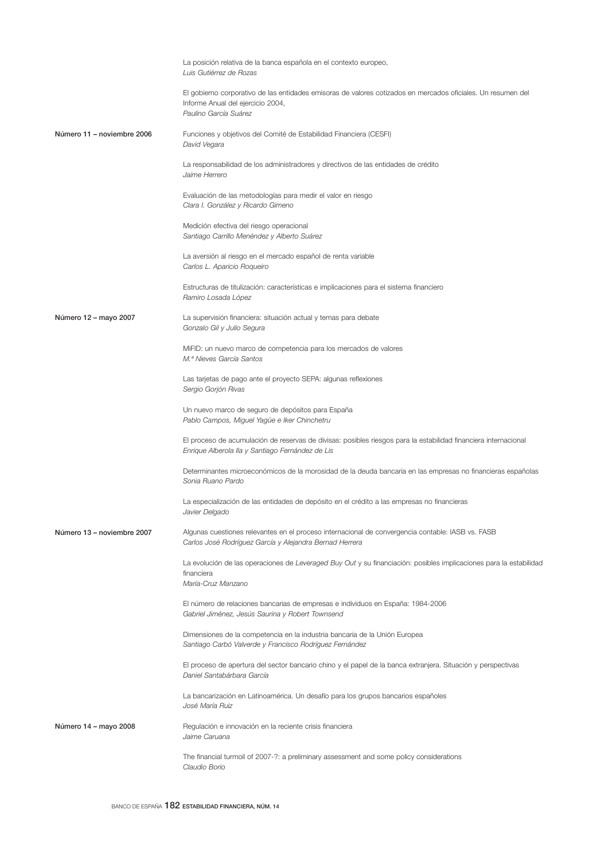|                            | La posición relativa de la banca española en el contexto europeo,<br>Luis Gutiérrez de Rozas                                                                               |
|----------------------------|----------------------------------------------------------------------------------------------------------------------------------------------------------------------------|
|                            | El gobierno corporativo de las entidades emisoras de valores cotizados en mercados oficiales. Un resumen del<br>Informe Anual del ejercicio 2004,<br>Paulino García Suárez |
| Número 11 - noviembre 2006 | Funciones y objetivos del Comité de Estabilidad Financiera (CESFI)<br>David Vegara                                                                                         |
|                            | La responsabilidad de los administradores y directivos de las entidades de crédito<br>Jaime Herrero                                                                        |
|                            | Evaluación de las metodologías para medir el valor en riesgo<br>Clara I. González y Ricardo Gimeno                                                                         |
|                            | Medición efectiva del riesgo operacional<br>Santiago Carrillo Menéndez y Alberto Suárez                                                                                    |
|                            | La aversión al riesgo en el mercado español de renta variable<br>Carlos L. Aparicio Roqueiro                                                                               |
|                            | Estructuras de titulización: características e implicaciones para el sistema financiero<br>Ramiro Losada López                                                             |
| Número 12 – mayo 2007      | La supervisión financiera: situación actual y temas para debate<br>Gonzalo Gil y Julio Segura                                                                              |
|                            | MiFID: un nuevo marco de competencia para los mercados de valores<br>M. <sup>a</sup> Nieves García Santos                                                                  |
|                            | Las tarjetas de pago ante el proyecto SEPA: algunas reflexiones<br>Sergio Gorjón Rivas                                                                                     |
|                            | Un nuevo marco de seguro de depósitos para España<br>Pablo Campos, Miguel Yagüe e Iker Chinchetru                                                                          |
|                            | El proceso de acumulación de reservas de divisas: posibles riesgos para la estabilidad financiera internacional<br>Enrique Alberola lla y Santiago Fernández de Lis        |
|                            | Determinantes microeconómicos de la morosidad de la deuda bancaria en las empresas no financieras españolas<br>Sonia Ruano Pardo                                           |
|                            | La especialización de las entidades de depósito en el crédito a las empresas no financieras<br>Javier Delgado                                                              |
| Número 13 – noviembre 2007 | Algunas cuestiones relevantes en el proceso internacional de convergencia contable: IASB vs. FASB<br>Carlos José Rodríguez García y Alejandra Bernad Herrera               |
|                            | La evolución de las operaciones de Leveraged Buy Out y su financiación: posibles implicaciones para la estabilidad<br>financiera<br>María-Cruz Manzano                     |
|                            | El número de relaciones bancarias de empresas e individuos en España: 1984-2006<br>Gabriel Jiménez, Jesús Saurina y Robert Townsend                                        |
|                            | Dimensiones de la competencia en la industria bancaria de la Unión Europea<br>Santiago Carbó Valverde y Francisco Rodríguez Fernández                                      |
|                            | El proceso de apertura del sector bancario chino y el papel de la banca extranjera. Situación y perspectivas<br>Daniel Santabárbara García                                 |
|                            | La bancarización en Latinoamérica. Un desafío para los grupos bancarios españoles<br>José María Ruiz                                                                       |
| Número 14 – mayo 2008      | Regulación e innovación en la reciente crisis financiera<br>Jaime Caruana                                                                                                  |
|                            | The financial turmoil of 2007-?: a preliminary assessment and some policy considerations<br>Claudio Borio                                                                  |